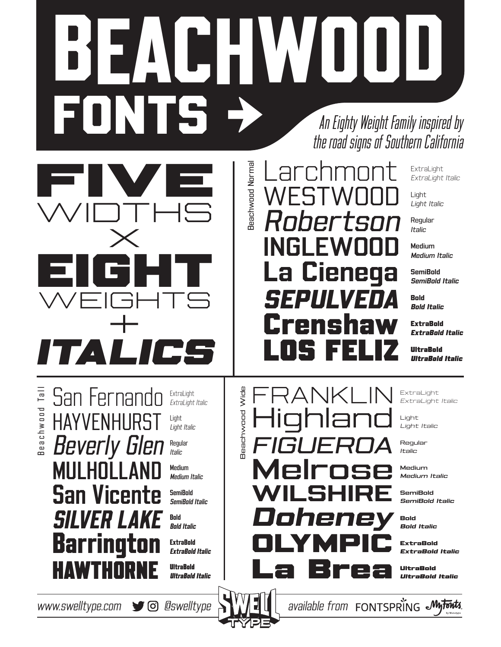## BEACHWOOD FONTS >> An Eighty Weight Family inspired by the road signs of Southern California

Beachwood Normal

**Beachwood Normal** 

Beachwood Wide

**Beachwood Wide** 



Beachwood Tall Beachwood Tall

San Fernando **HAYVENHURST** Beverly Glen **MULHOLLAND** San Vicente SILVER LAKE Barrington ExtraLight Italic Light Light Italic Regular Italic Medium Medium Italic **SemiRold** SemiBold Italic Bold Bold Italic **ExtraBold** ExtraBold Italic

ExtraLight

**UltraBold** UltraBold Italic Larchmont **WESTWOOD** artsi INGLEWOOD La Cienega SEPULVEDA Crenshaw LOS FELIZ

FRANKLIN

Highland

FIGUEROA

Melrose

WILSHIRE

OLYMPIC

La Brea

Doheney

ExtraLight ExtraLight Italic

Light Light Italic

Regular Italic

Medium Medium Italic

**SemiBold** SemiBold Italic

Bold Bold Italic

**ExtraBold** ExtraBold Italic

UltraBold UltraBold Italic

ExtraLight ExtraLight Italic

Light Light Italic

Regular Italic

Medium Medium Italic

SemiBold SemiBold Italic

Bold Bold Italic

ExtraBold ExtraBold Italic

UltraBold UltraBold Italic

www.swelltype.com  $\bullet$   $\bullet$   $\bullet$  eswelltype  $\mathbb{R}^{V}$   $\bullet$   $\bullet$  available from FONTSPRING  $\bullet$  My Fonts

**HAWTHORI**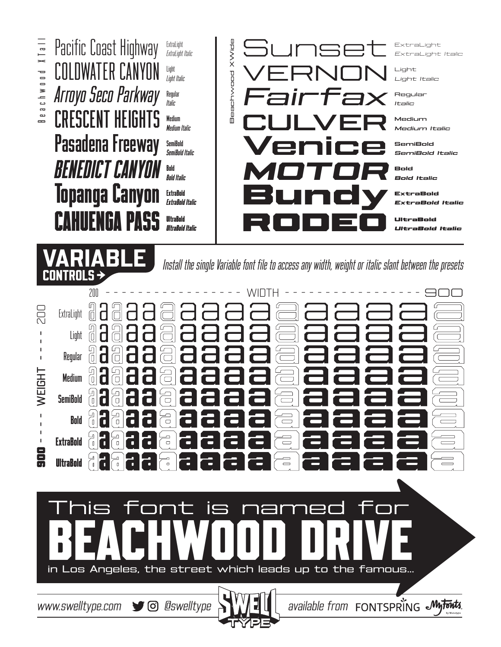